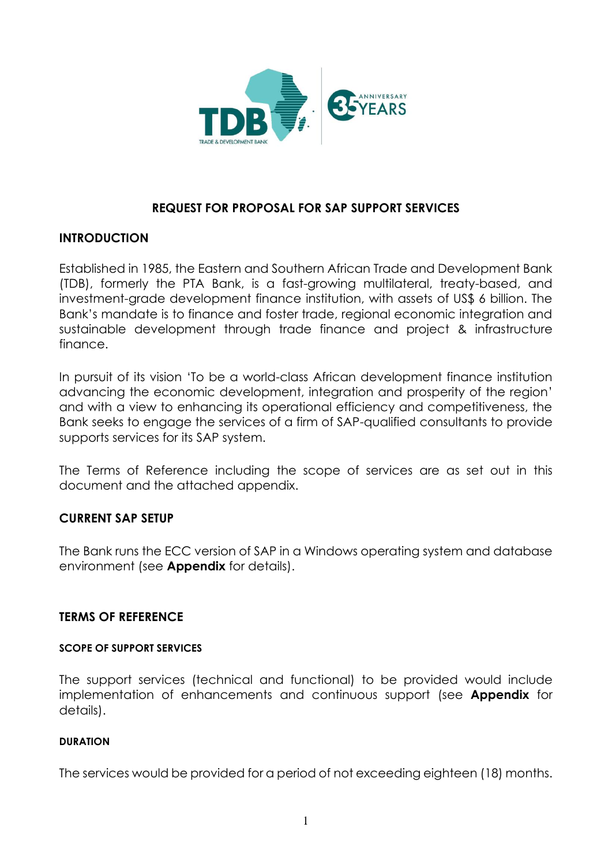

# **REQUEST FOR PROPOSAL FOR SAP SUPPORT SERVICES**

### **INTRODUCTION**

Established in 1985, the Eastern and Southern African Trade and Development Bank (TDB), formerly the PTA Bank, is a fast-growing multilateral, treaty-based, and investment-grade development finance institution, with assets of US\$ 6 billion. The Bank's mandate is to finance and foster trade, regional economic integration and sustainable development through trade finance and project & infrastructure finance.

In pursuit of its vision 'To be a world-class African development finance institution advancing the economic development, integration and prosperity of the region' and with a view to enhancing its operational efficiency and competitiveness, the Bank seeks to engage the services of a firm of SAP-qualified consultants to provide supports services for its SAP system.

The Terms of Reference including the scope of services are as set out in this document and the attached appendix.

## **CURRENT SAP SETUP**

The Bank runs the ECC version of SAP in a Windows operating system and database environment (see **Appendix** for details).

### **TERMS OF REFERENCE**

### **SCOPE OF SUPPORT SERVICES**

The support services (technical and functional) to be provided would include implementation of enhancements and continuous support (see **Appendix** for details).

### **DURATION**

The services would be provided for a period of not exceeding eighteen (18) months.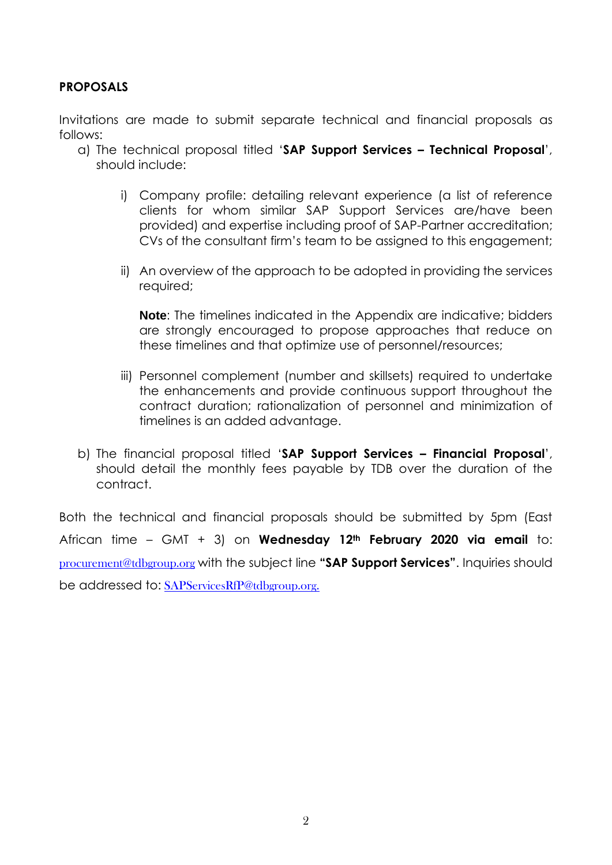## **PROPOSALS**

Invitations are made to submit separate technical and financial proposals as follows:

- a) The technical proposal titled '**SAP Support Services – Technical Proposal**', should include:
	- i) Company profile: detailing relevant experience (a list of reference clients for whom similar SAP Support Services are/have been provided) and expertise including proof of SAP-Partner accreditation; CVs of the consultant firm's team to be assigned to this engagement;
	- ii) An overview of the approach to be adopted in providing the services required;

**Note**: The timelines indicated in the Appendix are indicative; bidders are strongly encouraged to propose approaches that reduce on these timelines and that optimize use of personnel/resources;

- iii) Personnel complement (number and skillsets) required to undertake the enhancements and provide continuous support throughout the contract duration; rationalization of personnel and minimization of timelines is an added advantage.
- b) The financial proposal titled '**SAP Support Services – Financial Proposal**', should detail the monthly fees payable by TDB over the duration of the contract.

Both the technical and financial proposals should be submitted by 5pm (East African time – GMT + 3) on **Wednesday 12th February 2020 via email** to: [procurement@tdbgroup.org](mailto:procurement@tdbgroup.org) with the subject line **"SAP Support Services"**. Inquiries should be addressed to: SAPServicesRfP@tdbgroup.org.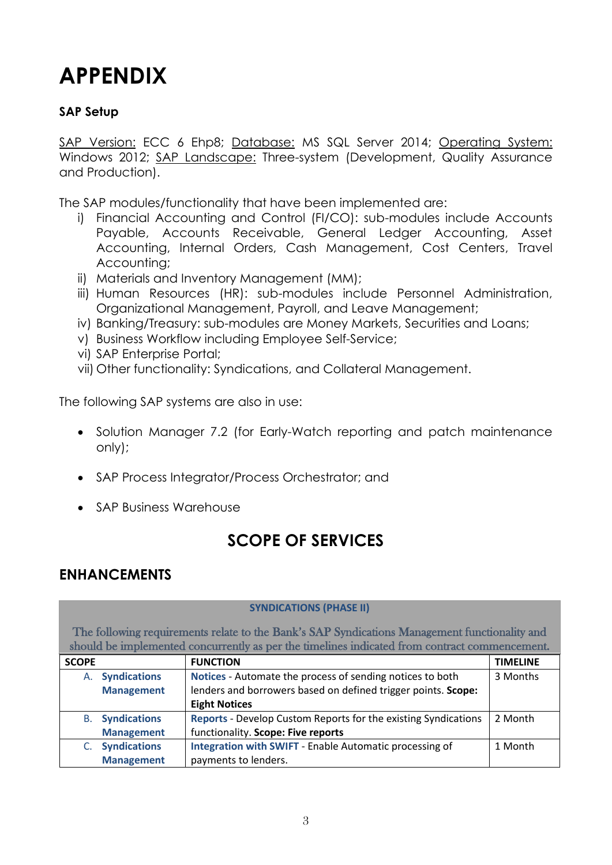# **APPENDIX**

# **SAP Setup**

SAP Version: ECC 6 Ehp8; Database: MS SQL Server 2014; Operating System: Windows 2012; SAP Landscape: Three-system (Development, Quality Assurance and Production).

The SAP modules/functionality that have been implemented are:

- i) Financial Accounting and Control (FI/CO): sub-modules include Accounts Payable, Accounts Receivable, General Ledger Accounting, Asset Accounting, Internal Orders, Cash Management, Cost Centers, Travel Accounting;
- ii) Materials and Inventory Management (MM);
- iii) Human Resources (HR): sub-modules include Personnel Administration, Organizational Management, Payroll, and Leave Management;
- iv) Banking/Treasury: sub-modules are Money Markets, Securities and Loans;
- v) Business Workflow including Employee Self-Service;
- vi) SAP Enterprise Portal;
- vii) Other functionality: Syndications, and Collateral Management.

The following SAP systems are also in use:

- Solution Manager 7.2 (for Early-Watch reporting and patch maintenance only);
- SAP Process Integrator/Process Orchestrator; and
- SAP Business Warehouse

# **SCOPE OF SERVICES**

# **ENHANCEMENTS**

### **SYNDICATIONS (PHASE II)**

The following requirements relate to the Bank's SAP Syndications Management functionality and should be implemented concurrently as per the timelines indicated from contract commencement.

| <b>SCOPE</b> |                        | <b>FUNCTION</b>                                                | <b>TIMELINE</b> |
|--------------|------------------------|----------------------------------------------------------------|-----------------|
| А.           | <b>Syndications</b>    | Notices - Automate the process of sending notices to both      | 3 Months        |
|              | <b>Management</b>      | lenders and borrowers based on defined trigger points. Scope:  |                 |
|              |                        | <b>Eight Notices</b>                                           |                 |
|              | <b>B.</b> Syndications | Reports - Develop Custom Reports for the existing Syndications | 2 Month         |
|              | <b>Management</b>      | functionality. Scope: Five reports                             |                 |
|              | <b>Syndications</b>    | Integration with SWIFT - Enable Automatic processing of        | 1 Month         |
|              | <b>Management</b>      | payments to lenders.                                           |                 |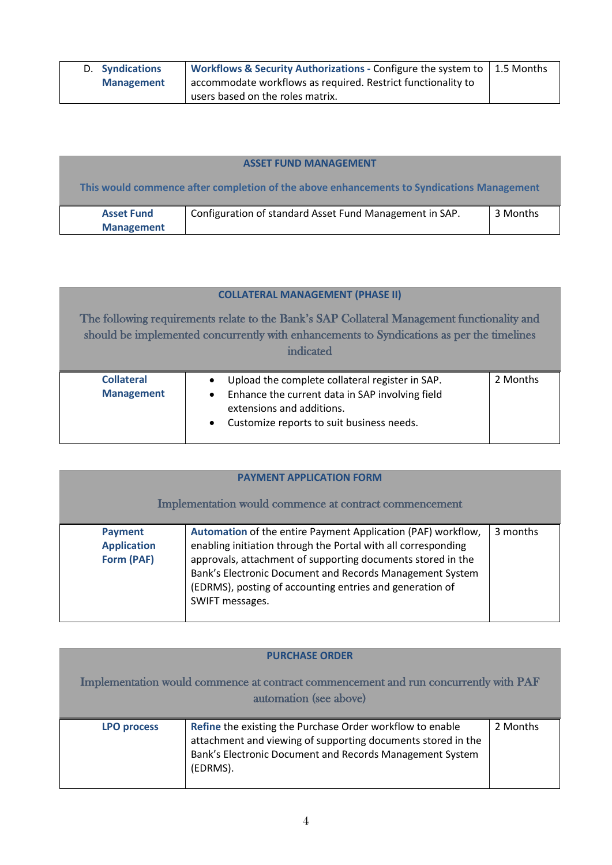| <b>D.</b> Syndications | <b>Workflows &amp; Security Authorizations - Configure the system to <math>\vert</math> 1.5 Months</b> |  |
|------------------------|--------------------------------------------------------------------------------------------------------|--|
| <b>Management</b>      | accommodate workflows as required. Restrict functionality to                                           |  |
|                        | users based on the roles matrix.                                                                       |  |

| <b>ASSET FUND MANAGEMENT</b>                                                              |                                                         |          |  |
|-------------------------------------------------------------------------------------------|---------------------------------------------------------|----------|--|
| This would commence after completion of the above enhancements to Syndications Management |                                                         |          |  |
| <b>Asset Fund</b><br><b>Management</b>                                                    | Configuration of standard Asset Fund Management in SAP. | 3 Months |  |

|                                                                                                                                                                                                       | <b>COLLATERAL MANAGEMENT (PHASE II)</b>                                                                                                                                                   |          |
|-------------------------------------------------------------------------------------------------------------------------------------------------------------------------------------------------------|-------------------------------------------------------------------------------------------------------------------------------------------------------------------------------------------|----------|
| The following requirements relate to the Bank's SAP Collateral Management functionality and<br>should be implemented concurrently with enhancements to Syndications as per the timelines<br>indicated |                                                                                                                                                                                           |          |
| <b>Collateral</b><br><b>Management</b>                                                                                                                                                                | Upload the complete collateral register in SAP.<br>Enhance the current data in SAP involving field<br>$\bullet$<br>extensions and additions.<br>Customize reports to suit business needs. | 2 Months |

| <b>PAYMENT APPLICATION FORM</b><br>Implementation would commence at contract commencement |                                                                                                                                                                                                                                                                                                                                         |          |
|-------------------------------------------------------------------------------------------|-----------------------------------------------------------------------------------------------------------------------------------------------------------------------------------------------------------------------------------------------------------------------------------------------------------------------------------------|----------|
| <b>Payment</b><br><b>Application</b><br>Form (PAF)                                        | Automation of the entire Payment Application (PAF) workflow,<br>enabling initiation through the Portal with all corresponding<br>approvals, attachment of supporting documents stored in the<br>Bank's Electronic Document and Records Management System<br>(EDRMS), posting of accounting entries and generation of<br>SWIFT messages. | 3 months |

|                    | <b>PURCHASE ORDER</b>                                                                                                                                                                             |          |
|--------------------|---------------------------------------------------------------------------------------------------------------------------------------------------------------------------------------------------|----------|
|                    | Implementation would commence at contract commencement and run concurrently with PAF<br>automation (see above)                                                                                    |          |
| <b>LPO process</b> | Refine the existing the Purchase Order workflow to enable<br>attachment and viewing of supporting documents stored in the<br>Bank's Electronic Document and Records Management System<br>(EDRMS). | 2 Months |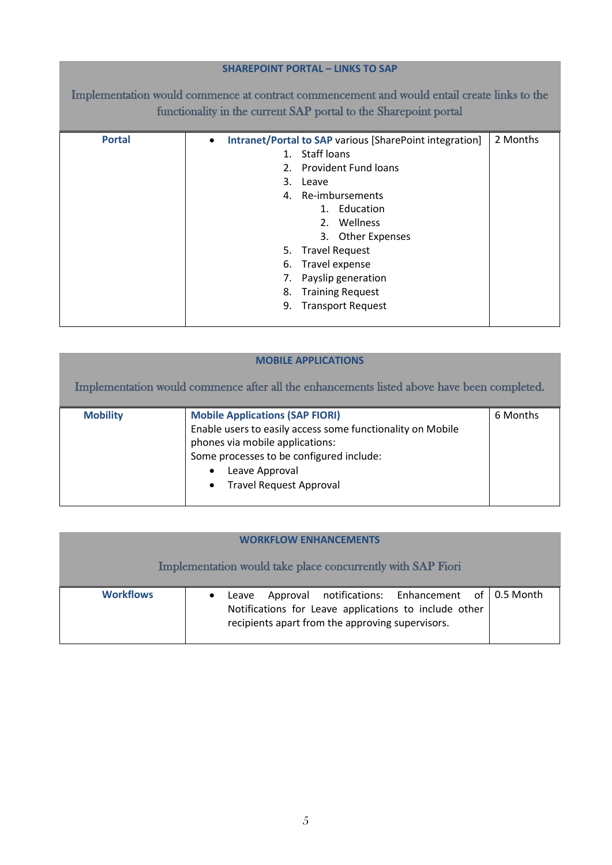### **SHAREPOINT PORTAL – LINKS TO SAP**

Implementation would commence at contract commencement and would entail create links to the functionality in the current SAP portal to the Sharepoint portal

| <b>Portal</b> | Intranet/Portal to SAP various [SharePoint integration]<br>$\bullet$ | 2 Months |
|---------------|----------------------------------------------------------------------|----------|
|               | Staff loans<br>$1_{-}$                                               |          |
|               | 2. Provident Fund loans                                              |          |
|               | 3.<br>Leave                                                          |          |
|               | 4. Re-imbursements                                                   |          |
|               | 1. Education                                                         |          |
|               | 2. Wellness                                                          |          |
|               | 3. Other Expenses                                                    |          |
|               | 5. Travel Request                                                    |          |
|               | 6. Travel expense                                                    |          |
|               | Payslip generation<br>7.                                             |          |
|               | <b>Training Request</b><br>8.                                        |          |
|               | <b>Transport Request</b><br>9.                                       |          |
|               |                                                                      |          |
|               |                                                                      |          |

| <b>MOBILE APPLICATIONS</b>                                                                 |                                                                                                                                                                                                                                         |          |
|--------------------------------------------------------------------------------------------|-----------------------------------------------------------------------------------------------------------------------------------------------------------------------------------------------------------------------------------------|----------|
| Implementation would commence after all the enhancements listed above have been completed. |                                                                                                                                                                                                                                         |          |
| <b>Mobility</b>                                                                            | <b>Mobile Applications (SAP FIORI)</b><br>Enable users to easily access some functionality on Mobile<br>phones via mobile applications:<br>Some processes to be configured include:<br>Leave Approval<br><b>Travel Request Approval</b> | 6 Months |

| <b>WORKFLOW ENHANCEMENTS</b> |                                                                                                                                                                        |  |  |
|------------------------------|------------------------------------------------------------------------------------------------------------------------------------------------------------------------|--|--|
|                              | Implementation would take place concurrently with SAP Fiori                                                                                                            |  |  |
| <b>Workflows</b>             | Approval notifications: Enhancement of 0.5 Month<br>Leave<br>Notifications for Leave applications to include other<br>recipients apart from the approving supervisors. |  |  |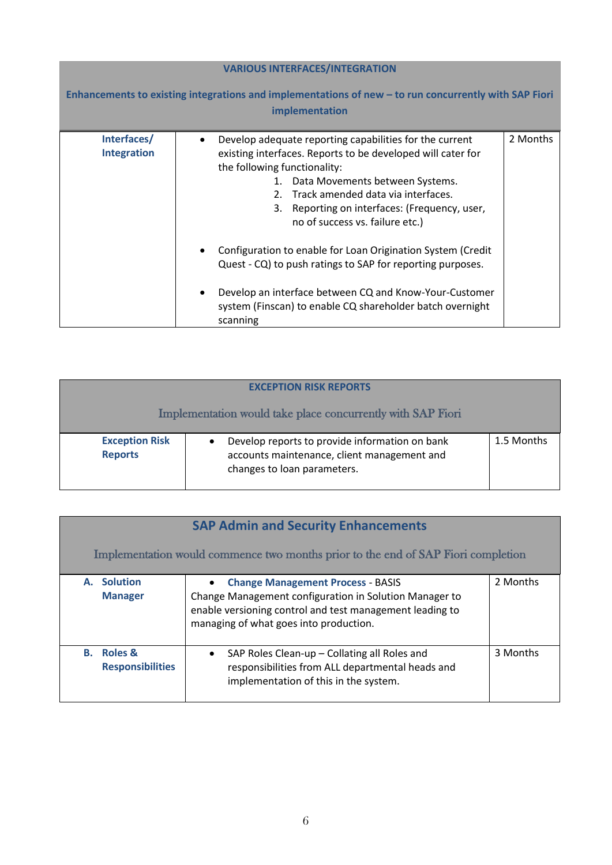| <b>VARIOUS INTERFACES/INTEGRATION</b>                                                                                   |                                                                                                                                                                                                                                                                                                                                                                                                                                                                                                                                                                                           |          |  |
|-------------------------------------------------------------------------------------------------------------------------|-------------------------------------------------------------------------------------------------------------------------------------------------------------------------------------------------------------------------------------------------------------------------------------------------------------------------------------------------------------------------------------------------------------------------------------------------------------------------------------------------------------------------------------------------------------------------------------------|----------|--|
| Enhancements to existing integrations and implementations of new - to run concurrently with SAP Fiori<br>implementation |                                                                                                                                                                                                                                                                                                                                                                                                                                                                                                                                                                                           |          |  |
| Interfaces/<br><b>Integration</b>                                                                                       | Develop adequate reporting capabilities for the current<br>existing interfaces. Reports to be developed will cater for<br>the following functionality:<br>1. Data Movements between Systems.<br>2. Track amended data via interfaces.<br>3. Reporting on interfaces: (Frequency, user,<br>no of success vs. failure etc.)<br>Configuration to enable for Loan Origination System (Credit<br>Quest - CQ) to push ratings to SAP for reporting purposes.<br>Develop an interface between CQ and Know-Your-Customer<br>system (Finscan) to enable CQ shareholder batch overnight<br>scanning | 2 Months |  |

| <b>EXCEPTION RISK REPORTS</b>           |                                                                                                                              |            |
|-----------------------------------------|------------------------------------------------------------------------------------------------------------------------------|------------|
|                                         | Implementation would take place concurrently with SAP Fiori                                                                  |            |
| <b>Exception Risk</b><br><b>Reports</b> | Develop reports to provide information on bank<br>accounts maintenance, client management and<br>changes to loan parameters. | 1.5 Months |

| <b>SAP Admin and Security Enhancements</b>                                        |                                                                                                                                                                                                          |          |  |
|-----------------------------------------------------------------------------------|----------------------------------------------------------------------------------------------------------------------------------------------------------------------------------------------------------|----------|--|
| Implementation would commence two months prior to the end of SAP Fiori completion |                                                                                                                                                                                                          |          |  |
| A. Solution<br><b>Manager</b>                                                     | <b>Change Management Process - BASIS</b><br>Change Management configuration in Solution Manager to<br>enable versioning control and test management leading to<br>managing of what goes into production. | 2 Months |  |
| <b>B.</b> Roles &<br><b>Responsibilities</b>                                      | SAP Roles Clean-up - Collating all Roles and<br>$\bullet$<br>responsibilities from ALL departmental heads and<br>implementation of this in the system.                                                   | 3 Months |  |